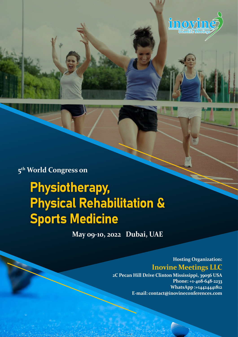

## **5th World Congress on**

# **Physiotherapy,** Physical Rehabilitation & Sports Medicine

**May 09-10, 2022 Dubai, UAE**

**Hosting Organization: Inovine Meetings LLC 2C Pecan Hill Drive Clinton Mississippi, 39056 USA**

**Phone: +1-408-648-2233 WhatsApp :+14424441812 E-mail: contact@inovineconferences.com**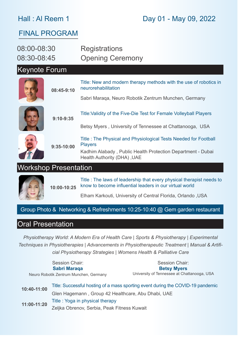#### Hall : Al Reem 1

## Day 01 - May 09, 2022

#### FINAL PROGRAM

| 08:00-08:30<br>08:30-08:45       |            | <b>Registrations</b><br><b>Opening Ceremony</b>                                                                                                                                 |
|----------------------------------|------------|---------------------------------------------------------------------------------------------------------------------------------------------------------------------------------|
| <b>Keynote Forum</b>             |            |                                                                                                                                                                                 |
|                                  | 08:45-9:10 | Title: New and modern therapy methods with the use of robotics in<br>neurorehabilitation                                                                                        |
|                                  |            | Sabri Maraqa, Neuro Robotik Zentrum Munchen, Germany                                                                                                                            |
| $9:10-9:35$                      |            | Title: Validity of the Five-Die Test for Female Volleyball Players                                                                                                              |
|                                  |            | Betsy Myers, University of Tennessee at Chattanooga, USA                                                                                                                        |
| $9:35-10:00$                     |            | Title: The Physical and Physiological Tests Needed for Football<br><b>Players</b><br>Kadhim Alabady, Public Health Protection Department - Dubai<br>Health Authority (DHA), UAE |
| II <i>llarkahan</i> Drooontotion |            |                                                                                                                                                                                 |

#### Workshop Presentation

**10:00-10:25** Title : The laws of leadership that every physical therapist needs to know to become influential leaders in our virtual world

Elham Karkouti, University of Central Florida, Orlando ,USA

#### Group Photo & Networking & Refreshments 10:25-10:40 @ Gem garden restaurant

#### Oral Presentation

*Physiotherapy World: A Modern Era of Health Care | Sports & Physiotherapy | Experimental Techniques in Physiotherapies | Advancements in Physiotherapeutic Treatment | Manual & Artificial Physiotherapy Strategies | Womens Health & Palliative Care*

**10:40-11:00** Title: Successful hosting of a mass sporting event during the COVID-19 pandemic Session Chair: **Sabri Maraqa** Neuro Robotik Zentrum Munchen, Germany Session Chair: **Betsy Myers** University of Tennessee at Chattanooga, USA

Glen Hagemann , Group 42 Healthcare, Abu Dhabi, UAE **11:00-11:20** Title : Yoga in physical therapy Zeljka Obrenov, Serbia, Peak Fitness Kuwait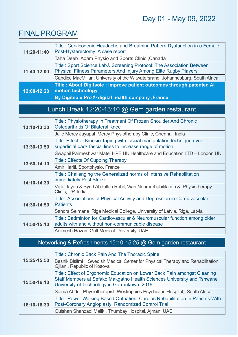### FINAL PROGRAM

| 11:20-11:40 | Title: Cervicogenic Headache and Breathing Pattern Dysfunction in a Female<br>Post-Hysterectomy: A case report                            |
|-------------|-------------------------------------------------------------------------------------------------------------------------------------------|
|             | Taha Deeb, Adam Physio and Sports Clinic, Canada                                                                                          |
| 11:40-12:00 | Title: Sport Science Lab® Screening Protocol: The Association Between<br>Physical Fitness Parameters And Injury Among Elite Rugby Players |
|             | Candice MacMillan, University of the Witwatersrand, Johannesburg, South Africa                                                            |
| 12:00-12:20 | Title: About Digitsole: Improve patient outcomes through patented Al<br>motion technology                                                 |
|             | By Digitsole Pro ® digital health company, France                                                                                         |

## Lunch Break 12:20-13:10 @ Gem garden restaurant

| 13:10-13:30 | Title: Physiotherapy In Treatment Of Frozen Shoulder And Chronic<br><b>Osteoarthritis Of Bilateral Knee</b>                            |
|-------------|----------------------------------------------------------------------------------------------------------------------------------------|
|             | Julie Mercy Jayapal, Mercy Physiotherapy Clinic, Chennai, India                                                                        |
| 13:30-13:50 | Title: Effect of Kinesio Taping with fascial manipulation technique over<br>superficial back fascial lines to increase range of motion |
|             | Swapnil Parmeshwar Mate, HPE UK Healthcare and Education LTD - London UK                                                               |
| 13:50-14:10 | <b>Title: Effects Of Cupping Therapy</b>                                                                                               |
|             | Amir Hariti, Sportphysio, France                                                                                                       |
| 14:10-14:30 | Title: Challenging the Generalized norms of Intensive Rehabilitation<br>immediately Post Stroke                                        |
|             | Vijita Jayan & Syed Abdullah Rahil, Vian Neurorehabilitation & Physiotherapy<br>Clinic, UP, India                                      |
| 14:30-14:50 | Title: Associations of Physical Activity and Depression in Cardiovascular<br><b>Patients</b>                                           |
|             | Sandra Seimane, Riga Medical College, University of Latvia, Riga, Latvia                                                               |
| 14:50-15:10 | Title: Badminton for Cardiovascular & Neuromuscular function among older<br>adults with and without non-communicable disease           |
|             | Animesh Hazari, Gulf Medical University, UAE                                                                                           |

#### Networking & Refreshments 15:10-15:25 @ Gem garden restaurant

| 15:25-15:50 | Title: Chronic Back Pain And The Thoracic Spine                                                                                                                                                     |
|-------------|-----------------------------------------------------------------------------------------------------------------------------------------------------------------------------------------------------|
|             | Besnik Bislimi, Swedish Medical Center for Physical Therapy and Rehabilitation,<br>Gjilan, Republic of Kosova                                                                                       |
| 15:50-16:10 | Title: Effect of Ergonomic Education on Lower Back Pain amongst Cleaning<br>Staff Members at Sefako Makgatho Health Sciences University and Tshwane<br>University of Technology in Ga-rankuwa, 2019 |
|             | Saima Abdul, Physiotherapist, Weskoppies Psychiatric Hospital, South Africa                                                                                                                         |
| 16:10-16:30 | Title: Power Walking Based Outpatient Cardiac Rehabilitation In Patients With<br>Post-Coronary Angioplasty: Randomized Control Trial                                                                |
|             | Gulshan Shahzadi Malik, Thumbay Hospital, Ajman, UAE                                                                                                                                                |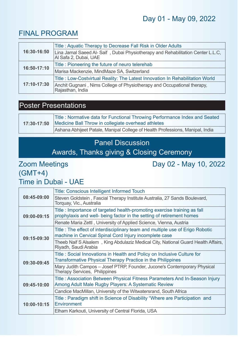## Day 01 - May 09, 2022

#### FINAL PROGRAM

| 16:30-16:50 | Title: Aquatic Therapy to Decrease Fall Risk in Older Adults                                            |
|-------------|---------------------------------------------------------------------------------------------------------|
|             | Lina Jamal Saeed Al-Saif, Dubai Physiotherapy and Rehabilitation Center L.L.C,<br>Al Safa 2, Dubai, UAE |
| 16:50-17:10 | Title: Pioneering the future of neuro telerehab                                                         |
|             | Marisa Mackenzie, MindMaze SA, Switzerland                                                              |
| 17:10-17:30 | Title: Low-Costvirtual Reality: The Latest Innovation In Rehabilitation World                           |
|             | Anchit Gugnani, Nims College of Physiotherapy and Occupational therapy,<br>Rajasthan, India             |

#### Poster Presentations

| 17:30-17:50 | Title: Normative data for Functional Throwing Performance Index and Seated<br>Medicine Ball Throw in collegiate overhead athletes |
|-------------|-----------------------------------------------------------------------------------------------------------------------------------|
|             | Ashana Abhijeet Patale, Manipal College of Health Professions, Manipal, India                                                     |

#### Panel Discussion

#### Awards, Thanks giving & Closing Ceremony

#### Zoom Meetings Day 02 - May 10, 2022 (GMT+4) Time in Dubai - UAE

**08:45-09:00** Title: Conscious Intelligent Informed Touch Steven Goldstein , Fascial Therapy Institute Australia, 27 Sands Boulevard, Torquay, Vic., Australia **09:00-09:15** Title : Importance of targeted health-promoting exercise training as fall prophylaxis and well- being factor in the setting of retirement homes Renate Maria Zettl , University of Applied Science, Vienna, Austria **09:15-09:30**  Title : The effect of interdisciplinary team and multiple use of Erigo Robotic machine in Cervical Spinal Cord Injury incomplete case Theeb Naif S Alsalem , King Abdulaziz Medical City, National Guard Health Affairs, Riyadh, Saudi Arabia **09:30-09:45** Title : Social Innovations in Health and Policy on Inclusive Culture for Transformative Physical Therapy Practice in the Philippines Mary Judith Campos – Josef PTRP, Founder, Jucone's Contemporary Physical Therapy Services, Philippines **09:45-10:00** Title : Association Between Physical Fitness Parameters And In-Season Injury Among Adult Male Rugby Players: A Systematic Review Candice MacMillan, University of the Witwatersrand, South Africa **10:00-10:15** Title : Paradigm shift in Science of Disability "Where are Participation and **Environment** Elham Karkouti, University of Central Florida, USA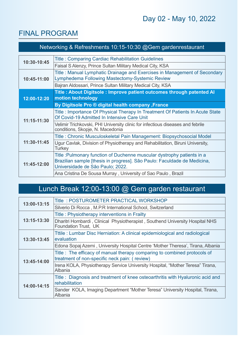## Day 02 - May 10, 2022

## FINAL PROGRAM

| Networking & Refreshments 10:15-10:30 @Gem gardenrestaurant |                                                                                                                                                                                         |  |
|-------------------------------------------------------------|-----------------------------------------------------------------------------------------------------------------------------------------------------------------------------------------|--|
| 10:30-10:45                                                 | <b>Title: Comparing Cardiac Rehabilitation Guidelines</b><br>Faisal S Alenzy, Prince Sultan Military Medical City, KSA                                                                  |  |
| 10:45-11:00                                                 | Title: Manual Lymphatic Drainage and Exercises in Management of Secondary<br>Lymphedema Following Mastectomy-Systemic Review                                                            |  |
| 12:00-12:20                                                 | Bajran Aldossari, Prince Sultan Military Medical City, KSA<br>Title: About Digitsole: Improve patient outcomes through patented Al<br>motion technology                                 |  |
|                                                             | By Digitsole Pro ® digital health company , France                                                                                                                                      |  |
| $11:15-11:30$                                               | Title: Importance Of Physical Therapy In Treatment Of Patients In Acute State<br>Of Covid-19 Admitted In Intensive Care Unit                                                            |  |
|                                                             | Velimir Trichkovski, PHI University clinic for infectious diseases and febrile<br>conditions, Skopje, N. Macedonia                                                                      |  |
| 11:30-11:45                                                 | Title: Chronic Musculoskeletal Pain Management: Biopsychosocial Model                                                                                                                   |  |
|                                                             | Ugur Cavlak, Division of Physiotherapy and Rehabilitation, Biruni University,<br><b>Turkey</b>                                                                                          |  |
| 11:45-12:00                                                 | Title : Pulmonary function of Duchenne muscular dystrophy patients in a<br>Brazilian sample [thesis in progress]. São Paulo: Faculdade de Medicina,<br>Universidade de São Paulo; 2022. |  |
|                                                             | Ana Cristina De Sousa Murray, University of Sao Paulo, Brazil                                                                                                                           |  |

## Lunch Break 12:00-13:00 @ Gem garden restaurant

| 13:00-13:15                | Title: POSTUROMETER PRACTICAL WORKSHOP                                                                                    |
|----------------------------|---------------------------------------------------------------------------------------------------------------------------|
|                            | Silverio Di Rocca, M.P.R International School, Switzerland                                                                |
|                            | Title: Physiotherapy interventions in Frailty                                                                             |
| 13:15-13:30<br>13:30-13:45 | Dharitri Hombardi, Clinical Physiotherapist, Southend University Hospital NHS<br>Foundation Trust, UK                     |
|                            | Ttile: Lumbar Disc Herniation: A clinical epidemiological and radiological<br>evaluation                                  |
|                            | Edona Sopaj Azemi, University Hospital Centre 'Mother Theresa', Tirana, Albania                                           |
|                            | Title: The efficacy of manual therapy comparing to combined protocols of<br>treatment of non-specific neck pain: (review) |
| 13:45-14:00<br>14:00-14:15 | Irena KOLA, Physiotherapy Service University Hospital, "Mother Teresa" Tirana,<br>Albania                                 |
|                            | Title: Diagnosis and treatment of knee osteoarthritis with Hyaluronic acid and<br>rehabilitation                          |
|                            | Sander KOLA, Imaging Department "Mother Teresa" University Hospital, Tirana,<br>Albania                                   |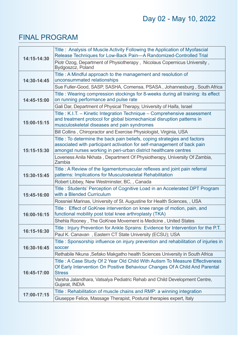## FINAL PROGRAM

| 14:15-14:30 | Title: Analysis of Muscle Activity Following the Application of Myofascial<br>Release Techniques for Low-Back Pain-A Randomized-Controlled Trial                                                                        |
|-------------|-------------------------------------------------------------------------------------------------------------------------------------------------------------------------------------------------------------------------|
|             | Piotr Ozog, Department of Physiotherapy, Nicolaus Copernicus University,<br>Bydgoszcz, Poland                                                                                                                           |
|             | Title: A Mindful approach to the management and resolution of                                                                                                                                                           |
| 14:30-14:45 | unconsummated relationships<br>Sue Fuller-Good, SASP, SASHA, Comensa, PSASA, Johannesburg, South Africa                                                                                                                 |
| 14:45-15:00 | Title: Wearing compression stockings for 8-weeks during all training: its effect                                                                                                                                        |
|             | on running performance and pulse rate                                                                                                                                                                                   |
|             | Gali Dar, Department of Physical Therapy, University of Haifa, Israel                                                                                                                                                   |
| 15:00-15:15 | Title: K.I.T. - Kinetic Integration Technique - Comprehensive assessment<br>and treatment protocol for global biomechanical disruption patterns in<br>musculoskeletal diseases and pain syndromes                       |
|             | Bill Collins, Chiropractor and Exercise Physiologist, Virginia, USA                                                                                                                                                     |
| 15:15-15:30 | Title: To determine the back pain beliefs, coping strategies and factors<br>associated with participant activation for self-management of back pain<br>amongst nurses working in peri-urban district healthcare centres |
|             | Loveness Anila Nkhata, Department Of Physiotherapy, University Of Zambia,<br>Zambia                                                                                                                                     |
| 15:30-15:45 | Title: A Review of the ligamentomuscular reflexes and joint pain referral<br>patterns: Implications for Musculoskeletal Rehabilitation                                                                                  |
|             | Robert Libbey, New Westminster, BC, , Canada                                                                                                                                                                            |
|             | Title: Students' Perception of Cognitive Load in an Accelerated DPT Program                                                                                                                                             |
| 15:45-16:00 | with a Blended Curriculum                                                                                                                                                                                               |
|             | Rossniel Marinas, University of St. Augustine for Health Sciences, , USA                                                                                                                                                |
| 16:00-16:15 | Title: Effect of GoKnee intervention on knee range of motion, pain, and<br>functional mobility post total knee arthroplasty (TKA)                                                                                       |
|             | Shehla Rooney, The GoKnee Movement is Medicine, United States                                                                                                                                                           |
| 16:15-16:30 | Title: Injury Prevention for Ankle Sprains: Evidence for Intervention for the P.T.                                                                                                                                      |
|             | Paul K. Canavan, Eastern CT State University (ECSU); USA                                                                                                                                                                |
| 16:30-16:45 | Title: Sponsorship influence on injury prevention and rehabilitation of injuries in                                                                                                                                     |
|             | soccer                                                                                                                                                                                                                  |
|             | Rethabile Nkuna, Sefako Makgatho health Sciences University in South Africa                                                                                                                                             |
| 16:45-17:00 | Title: A Case Study Of 2 Year Old Child With Autism To Measure Effectiveness                                                                                                                                            |
|             | Of Early Intervention On Positive Behaviour Changes Of A Child And Parental<br><b>Stress</b>                                                                                                                            |
|             | Varsha Jalandhara, Vatsalya Pediatric Rehab and Child Development Centre,<br>Gujarat, INDIA                                                                                                                             |
|             | Title: Rehabilitation of muscle chains and RMP: a winning integration                                                                                                                                                   |
| 17:00-17:15 | Giuseppe Felice, Massage Therapist, Postural therapies expert, Italy                                                                                                                                                    |